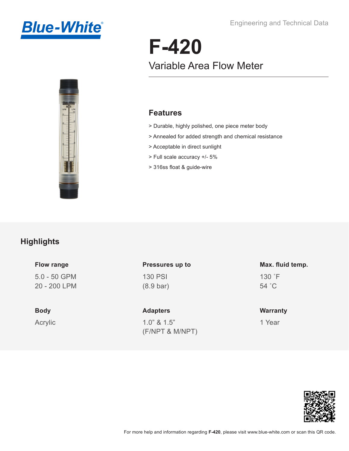



# **F-420** Variable Area Flow Meter

### **Features**

- > Durable, highly polished, one piece meter body
- > Annealed for added strength and chemical resistance
- > Acceptable in direct sunlight
- > Full scale accuracy +/- 5%
- > 316ss float & guide-wire

# **Highlights**

#### **Flow range**

5.0 - 50 GPM 20 - 200 LPM

#### **Body**

Acrylic

## 130 PSI (8.9 bar) **Pressures up to**

**Adapters**

1.0" & 1.5" (F/NPT & M/NPT)

## 130 ˚F **Max. fluid temp.**

54 ˚C

#### **Warranty**

1 Year

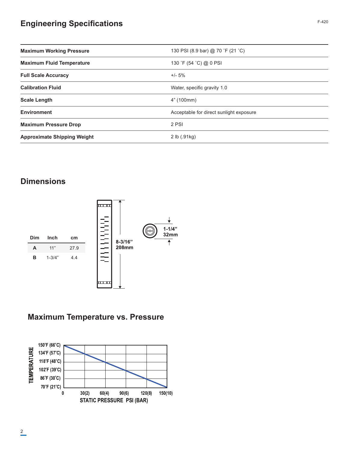# **Engineering Specifications**

| <b>Maximum Working Pressure</b>    | 130 PSI (8.9 bar) @ 70 °F (21 °C)       |  |  |
|------------------------------------|-----------------------------------------|--|--|
| <b>Maximum Fluid Temperature</b>   | 130 °F (54 °C) @ 0 PSI                  |  |  |
| <b>Full Scale Accuracy</b>         | $+/- 5%$                                |  |  |
| <b>Calibration Fluid</b>           | Water, specific gravity 1.0             |  |  |
| <b>Scale Length</b>                | 4" (100mm)                              |  |  |
| <b>Environment</b>                 | Acceptable for direct sunlight exposure |  |  |
| <b>Maximum Pressure Drop</b>       | 2 PSI                                   |  |  |
| <b>Approximate Shipping Weight</b> | 2 lb (.91kg)                            |  |  |

## **Dimensions**



# **Maximum Temperature vs. Pressure**

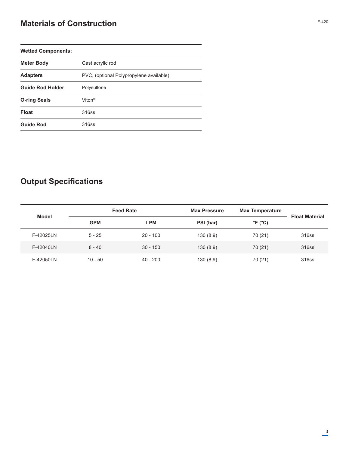# **Materials of Construction**

| <b>Wetted Components:</b> |                                         |  |  |  |
|---------------------------|-----------------------------------------|--|--|--|
| <b>Meter Body</b>         | Cast acrylic rod                        |  |  |  |
| <b>Adapters</b>           | PVC, (optional Polypropylene available) |  |  |  |
| <b>Guide Rod Holder</b>   | Polysulfone                             |  |  |  |
| <b>O-ring Seals</b>       | Viton <sup>®</sup>                      |  |  |  |
| <b>Float</b>              | 316ss                                   |  |  |  |
| <b>Guide Rod</b>          | 316ss                                   |  |  |  |

# **Output Specifications**

|              | <b>Feed Rate</b> |            | <b>Max Pressure</b> | <b>Max Temperature</b>       |                       |  |
|--------------|------------------|------------|---------------------|------------------------------|-----------------------|--|
| <b>Model</b> | <b>GPM</b>       | <b>LPM</b> | PSI (bar)           | $^{\circ}$ F ( $^{\circ}$ C) | <b>Float Material</b> |  |
| F-42025LN    | $5 - 25$         | $20 - 100$ | 130(8.9)            | 70 (21)                      | 316ss                 |  |
| F-42040LN    | $8 - 40$         | $30 - 150$ | 130(8.9)            | 70 (21)                      | 316ss                 |  |
| F-42050LN    | $10 - 50$        | $40 - 200$ | 130(8.9)            | 70 (21)                      | 316ss                 |  |